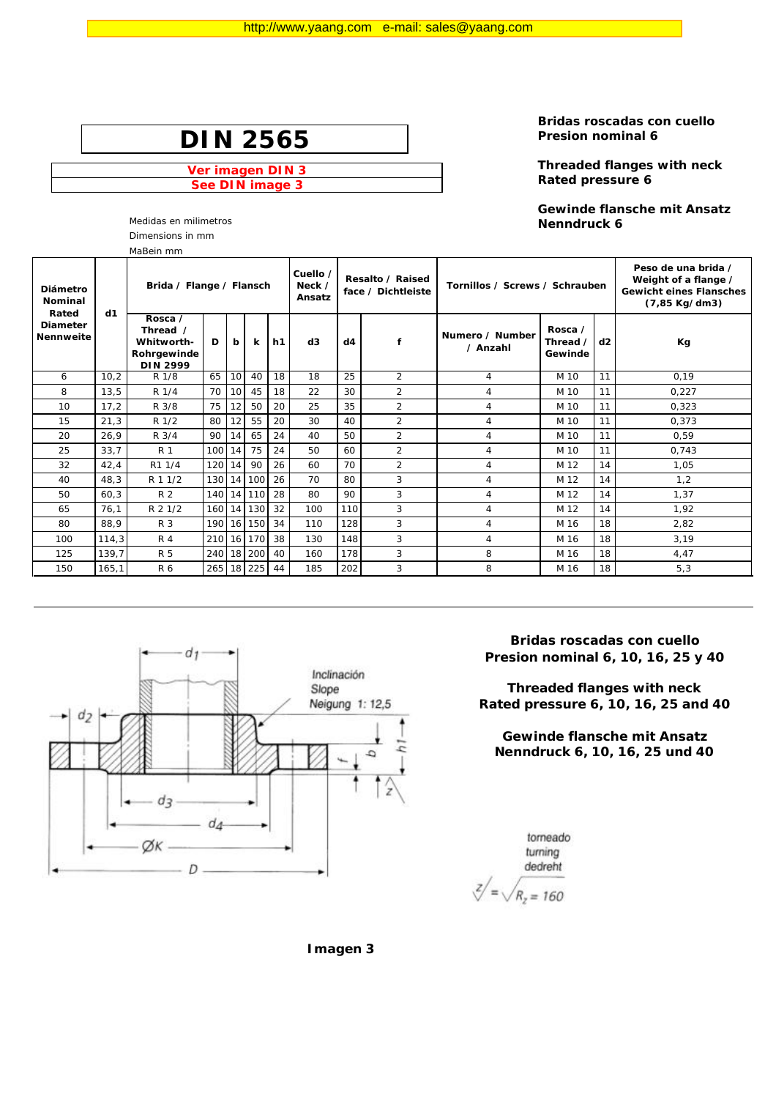**Ver imagen DIN 3 See DIN image 3**

Dimensions in mm

**Bridas roscadas con cuello Presion nominal 6** 

**Threaded flanges with neck Rated pressure 6** 

**Gewinde flansche mit Ansatz**  Medidas en milimetros **Nenndruck 6**

|                                              | MaBein mm |                                                                     |     |    |        |    |                              |     |                                        |                                |                                |    |                                                                                                |  |
|----------------------------------------------|-----------|---------------------------------------------------------------------|-----|----|--------|----|------------------------------|-----|----------------------------------------|--------------------------------|--------------------------------|----|------------------------------------------------------------------------------------------------|--|
| Diámetro<br>Nominal                          |           | Brida / Flange / Flansch                                            |     |    |        |    | Cuello /<br>Neck /<br>Ansatz |     | Resalto / Raised<br>face / Dichtleiste | Tornillos / Screws / Schrauben |                                |    | Peso de una brida /<br>Weight of a flange /<br><b>Gewicht eines Flansches</b><br>(7,85 Kg/dm3) |  |
| Rated<br><b>Diameter</b><br><b>Nennweite</b> | d1        | Rosca /<br>Thread /<br>Whitworth-<br>Rohrgewinde<br><b>DIN 2999</b> | D   | b  | k      | h1 | d3                           | d4  | f                                      | Numero / Number<br>/ Anzahl    | Rosca /<br>Thread /<br>Gewinde | d2 | Кg                                                                                             |  |
| 6                                            | 10,2      | R 1/8                                                               | 65  | 10 | 40     | 18 | 18                           | 25  | $\overline{2}$                         | $\overline{4}$                 | M 10                           | 11 | 0,19                                                                                           |  |
| 8                                            | 13,5      | R 1/4                                                               | 70  | 10 | 45     | 18 | 22                           | 30  | $\overline{2}$                         | 4                              | M 10                           | 11 | 0.227                                                                                          |  |
| 10                                           | 17,2      | R 3/8                                                               | 75  | 12 | 50     | 20 | 25                           | 35  | $\overline{2}$                         | 4                              | M 10                           | 11 | 0.323                                                                                          |  |
| 15                                           | 21,3      | R 1/2                                                               | 80  | 12 | 55     | 20 | 30                           | 40  | $\overline{2}$                         | $\overline{4}$                 | M 10                           | 11 | 0,373                                                                                          |  |
| 20                                           | 26,9      | R 3/4                                                               | 90  | 14 | 65     | 24 | 40                           | 50  | $\overline{2}$                         | 4                              | M 10                           | 11 | 0.59                                                                                           |  |
| 25                                           | 33,7      | <b>R</b> 1                                                          | 100 | 14 | 75     | 24 | 50                           | 60  | $\overline{2}$                         | $\overline{4}$                 | M 10                           | 11 | 0.743                                                                                          |  |
| 32                                           | 42,4      | R1 1/4                                                              | 120 | 14 | 90     | 26 | 60                           | 70  | $\overline{2}$                         | 4                              | M 12                           | 14 | 1,05                                                                                           |  |
| 40                                           | 48,3      | R 1 1/2                                                             | 130 | 14 | 100    | 26 | 70                           | 80  | 3                                      | 4                              | M 12                           | 14 | 1,2                                                                                            |  |
| 50                                           | 60,3      | R 2                                                                 | 140 | 14 | 110    | 28 | 80                           | 90  | 3                                      | $\overline{4}$                 | M 12                           | 14 | 1,37                                                                                           |  |
| 65                                           | 76,1      | R 2 1/2                                                             | 160 | 14 | 130    | 32 | 100                          | 110 | 3                                      | 4                              | M 12                           | 14 | 1,92                                                                                           |  |
| 80                                           | 88,9      | R 3                                                                 | 190 | 16 | 150    | 34 | 110                          | 128 | 3                                      | 4                              | M 16                           | 18 | 2,82                                                                                           |  |
| 100                                          | 114,3     | <b>R4</b>                                                           | 210 | 16 | 170    | 38 | 130                          | 148 | 3                                      | $\overline{4}$                 | M 16                           | 18 | 3,19                                                                                           |  |
| 125                                          | 139,7     | R 5                                                                 | 240 | 18 | 200    | 40 | 160                          | 178 | 3                                      | 8                              | M 16                           | 18 | 4,47                                                                                           |  |
| 150                                          | 165,1     | R 6                                                                 | 265 |    | 18 225 | 44 | 185                          | 202 | 3                                      | 8                              | M 16                           | 18 | 5,3                                                                                            |  |



**Bridas roscadas con cuello Presion nominal 6, 10, 16, 25 y 40**

**Threaded flanges with neck Rated pressure 6, 10, 16, 25 and 40**

**Gewinde flansche mit Ansatz Nenndruck 6, 10, 16, 25 und 40**

torneado turning dedreht  $\sqrt{z}/=\sqrt{R_z=160}$ 

**Imagen 3**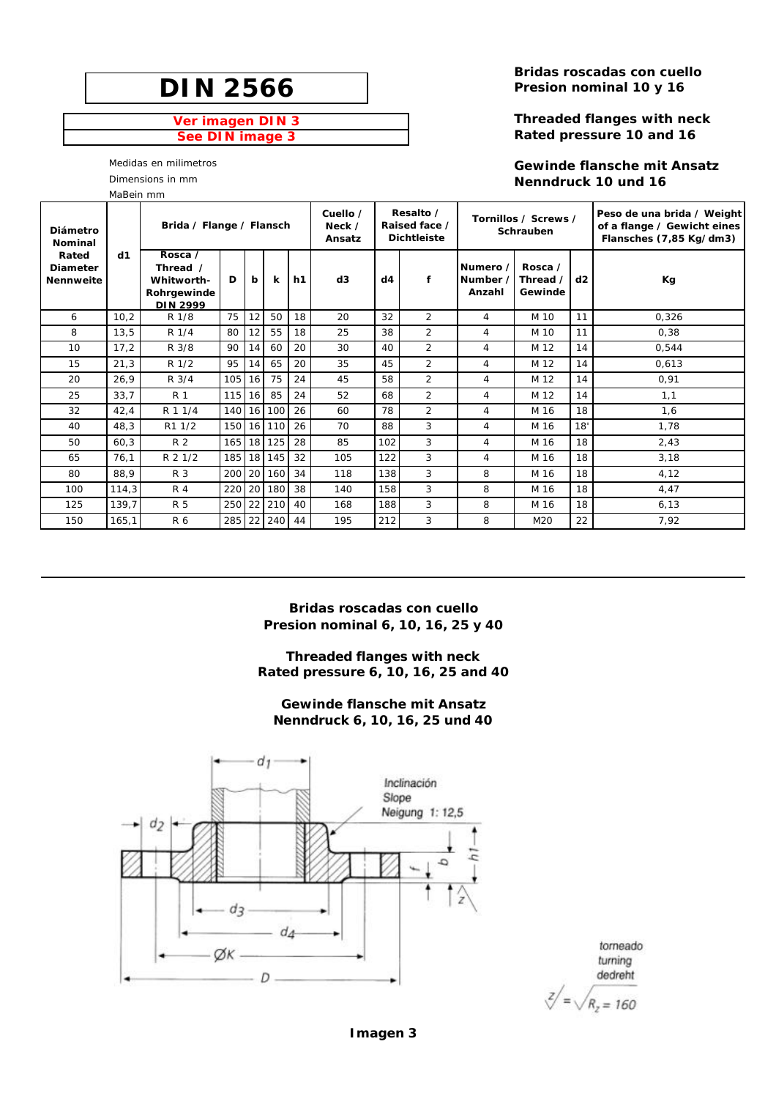### **Ver imagen DIN 3 See DIN image 3**

Medidas en milimetros

Dimensions in mm

MaBein mm

**Bridas roscadas con cuello Presion nominal 10 y 16** 

### **Threaded flanges with neck Rated pressure 10 and 16**

**Gewinde flansche mit Ansatz Nenndruck 10 und 16**

| Diámetro<br><b>Nominal</b>                   |       | Brida / Flange / Flansch                                            |        |    |             |    | Cuello /<br>Neck /<br>Ansatz | Resalto /<br>Raised face /<br><b>Dichtleiste</b> |                |                                | Tornillos / Screws /<br>Schrauben |     | Peso de una brida / Weight<br>of a flange / Gewicht eines<br>Flansches (7,85 Kg/dm3) |
|----------------------------------------------|-------|---------------------------------------------------------------------|--------|----|-------------|----|------------------------------|--------------------------------------------------|----------------|--------------------------------|-----------------------------------|-----|--------------------------------------------------------------------------------------|
| Rated<br><b>Diameter</b><br><b>Nennweite</b> | d1    | Rosca /<br>Thread /<br>Whitworth-<br>Rohrgewinde<br><b>DIN 2999</b> | D<br>b |    | $\mathbf k$ | h1 | d3                           | d4                                               | f              | Numero /<br>Number /<br>Anzahl | Rosca /<br>Thread /<br>Gewinde    | d2  | Кg                                                                                   |
| 6                                            | 10,2  | R 1/8                                                               | 75     | 12 | 50          | 18 | 20                           | 32                                               | 2              | 4                              | M 10                              | 11  | 0,326                                                                                |
| 8                                            | 13,5  | R 1/4                                                               | 80     | 12 | 55          | 18 | 25                           | 38                                               | $\overline{2}$ | 4                              | M 10                              | 11  | 0,38                                                                                 |
| 10                                           | 17,2  | R 3/8                                                               | 90     | 14 | 60          | 20 | 30                           | 40                                               | $\overline{2}$ | 4                              | M 12                              | 14  | 0,544                                                                                |
| 15                                           | 21,3  | R 1/2                                                               | 95     | 14 | 65          | 20 | 35                           | 45                                               | $\overline{2}$ | 4                              | M 12                              | 14  | 0.613                                                                                |
| 20                                           | 26,9  | R 3/4                                                               | 105    | 16 | 75          | 24 | 45                           | 58                                               | 2              | 4                              | M 12                              | 14  | 0.91                                                                                 |
| 25                                           | 33,7  | R 1                                                                 | 115 16 |    | 85          | 24 | 52                           | 68                                               | $\overline{2}$ | 4                              | M 12                              | 14  | 1,1                                                                                  |
| 32                                           | 42,4  | R 1 1/4                                                             |        |    | 140 16 100  | 26 | 60                           | 78                                               | 2              | 4                              | M 16                              | 18  | 1,6                                                                                  |
| 40                                           | 48,3  | R1 1/2                                                              | 150    |    | 16 110      | 26 | 70                           | 88                                               | 3              | 4                              | M 16                              | 18' | 1,78                                                                                 |
| 50                                           | 60,3  | R <sub>2</sub>                                                      |        |    | 165 18 125  | 28 | 85                           | 102                                              | 3              | 4                              | M 16                              | 18  | 2,43                                                                                 |
| 65                                           | 76,1  | R 2 1/2                                                             |        |    | 185 18 145  | 32 | 105                          | 122                                              | 3              | 4                              | M 16                              | 18  | 3,18                                                                                 |
| 80                                           | 88,9  | R 3                                                                 | 200    |    | 20 160      | 34 | 118                          | 138                                              | 3              | 8                              | M 16                              | 18  | 4,12                                                                                 |
| 100                                          | 114,3 | <b>R4</b>                                                           | 220    | 20 | 180         | 38 | 140                          | 158                                              | 3              | 8                              | M 16                              | 18  | 4.47                                                                                 |
| 125                                          | 139,7 | <b>R5</b>                                                           | 250    | 22 | 210         | 40 | 168                          | 188                                              | 3              | 8                              | M 16                              | 18  | 6, 13                                                                                |
| 150                                          | 165,1 | R 6                                                                 | 285    | 22 | 240         | 44 | 195                          | 212                                              | 3              | 8                              | M20                               | 22  | 7,92                                                                                 |

**Bridas roscadas con cuello Presion nominal 6, 10, 16, 25 y 40**

**Threaded flanges with neck Rated pressure 6, 10, 16, 25 and 40**

**Gewinde flansche mit Ansatz Nenndruck 6, 10, 16, 25 und 40**



torneado turning dedreht

 $Z/\sqrt{R_z=160}$ 

**Imagen 3**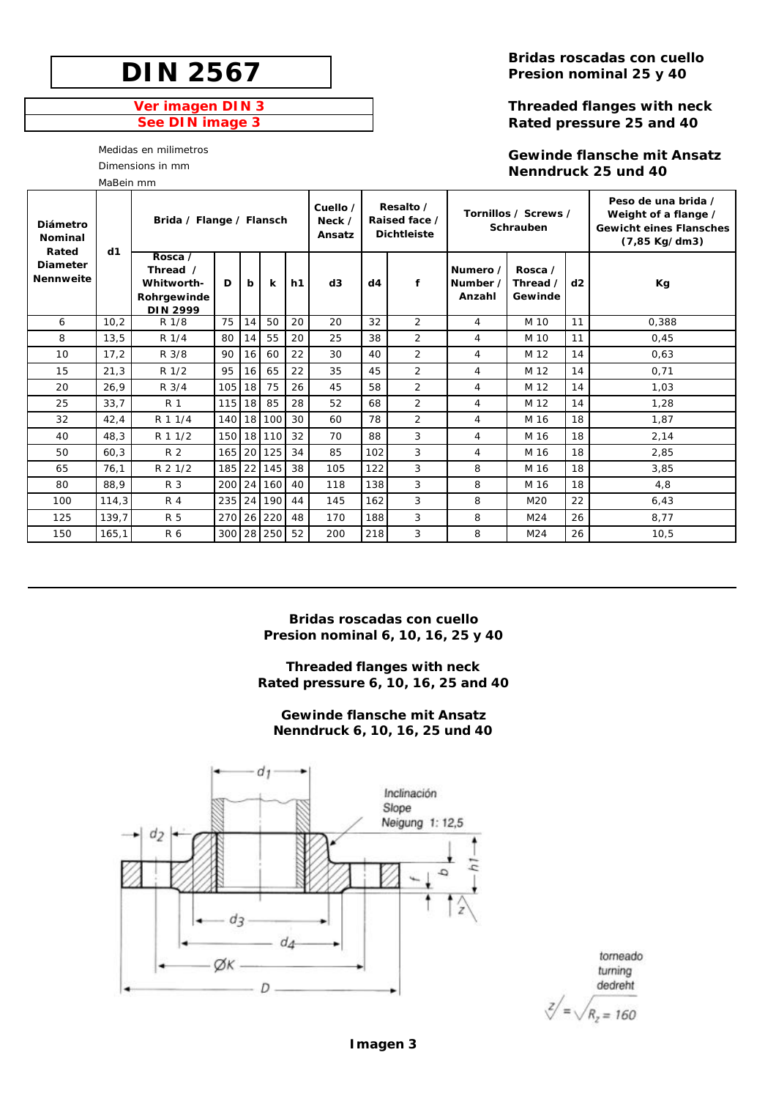### **Ver imagen DIN 3 See DIN image 3**

Medidas en milimetros

Dimensions in mm

MaBein mm

**Bridas roscadas con cuello Presion nominal 25 y 40**

### **Threaded flanges with neck Rated pressure 25 and 40**

### **Gewinde flansche mit Ansatz Nenndruck 25 und 40**

| Diámetro<br><b>Nominal</b><br>Rated | d1    | Brida / Flange / Flansch                                            |        |                 |            |    | Cuello /<br>Neck $\prime$<br>Ansatz |     | Resalto /<br>Raised face /<br><b>Dichtleiste</b> |                                | Tornillos / Screws /<br>Schrauben | Peso de una brida /<br>Weight of a flange /<br><b>Gewicht eines Flansches</b><br>(7,85 Kg/dm3) |       |
|-------------------------------------|-------|---------------------------------------------------------------------|--------|-----------------|------------|----|-------------------------------------|-----|--------------------------------------------------|--------------------------------|-----------------------------------|------------------------------------------------------------------------------------------------|-------|
| <b>Diameter</b><br><b>Nennweite</b> |       | Rosca /<br>Thread /<br>Whitworth-<br>Rohrgewinde<br><b>DIN 2999</b> | D      | b               | k          | h1 | d3                                  | d4  | f                                                | Numero /<br>Number /<br>Anzahl | Rosca /<br>Thread /<br>Gewinde    | d2                                                                                             | Кg    |
| 6                                   | 10.2  | R 1/8                                                               | 75     | 14              | 50         | 20 | 20                                  | 32  | 2                                                | 4                              | M 10                              | 11                                                                                             | 0,388 |
| 8                                   | 13,5  | R 1/4                                                               | 80     | 14              | 55         | 20 | 25                                  | 38  | $\overline{2}$                                   | 4                              | M 10                              | 11                                                                                             | 0,45  |
| 10                                  | 17,2  | R 3/8                                                               | 90     | 16              | 60         | 22 | 30                                  | 40  | $\overline{2}$                                   | 4                              | M 12                              | 14                                                                                             | 0,63  |
| 15                                  | 21,3  | R <sub>1/2</sub>                                                    | 95     | 16              | 65         | 22 | 35                                  | 45  | $\overline{2}$                                   | 4                              | M 12                              | 14                                                                                             | 0,71  |
| 20                                  | 26.9  | R 3/4                                                               | 105    | 18              | 75         | 26 | 45                                  | 58  | $\overline{2}$                                   | 4                              | M 12                              | 14                                                                                             | 1.03  |
| 25                                  | 33,7  | R 1                                                                 | 115    | 18              | 85         | 28 | 52                                  | 68  | $\overline{2}$                                   | 4                              | M 12                              | 14                                                                                             | 1.28  |
| 32                                  | 42,4  | R 1 1/4                                                             | 140    | 18 <sup>1</sup> | 100        | 30 | 60                                  | 78  | 2                                                | 4                              | M 16                              | 18                                                                                             | 1.87  |
| 40                                  | 48,3  | R 1 1/2                                                             | 150    |                 | 18 110     | 32 | 70                                  | 88  | 3                                                | 4                              | M 16                              | 18                                                                                             | 2,14  |
| 50                                  | 60,3  | R 2                                                                 | 165 20 |                 | 125        | 34 | 85                                  | 102 | 3                                                | 4                              | M 16                              | 18                                                                                             | 2,85  |
| 65                                  | 76.1  | R 2 1/2                                                             | 185    | 22              | 145        | 38 | 105                                 | 122 | 3                                                | 8                              | M 16                              | 18                                                                                             | 3.85  |
| 80                                  | 88,9  | R 3                                                                 | 200    | 24              | 160        | 40 | 118                                 | 138 | 3                                                | 8                              | M 16                              | 18                                                                                             | 4.8   |
| 100                                 | 114,3 | R 4                                                                 | 235 24 |                 | 190        | 44 | 145                                 | 162 | 3                                                | 8                              | M2O                               | 22                                                                                             | 6,43  |
| 125                                 | 139,7 | <b>R5</b>                                                           | 270    | 26              | 220        | 48 | 170                                 | 188 | 3                                                | 8                              | M <sub>24</sub>                   | 26                                                                                             | 8,77  |
| 150                                 | 165,1 | R 6                                                                 |        |                 | 300 28 250 | 52 | 200                                 | 218 | 3                                                | 8                              | M <sub>24</sub>                   | 26                                                                                             | 10,5  |

**Bridas roscadas con cuello Presion nominal 6, 10, 16, 25 y 40**

**Threaded flanges with neck Rated pressure 6, 10, 16, 25 and 40**

**Gewinde flansche mit Ansatz Nenndruck 6, 10, 16, 25 und 40**



torneado turning dedreht

# $\sqrt{z}/=\sqrt{R_z=160}$

**Imagen 3**